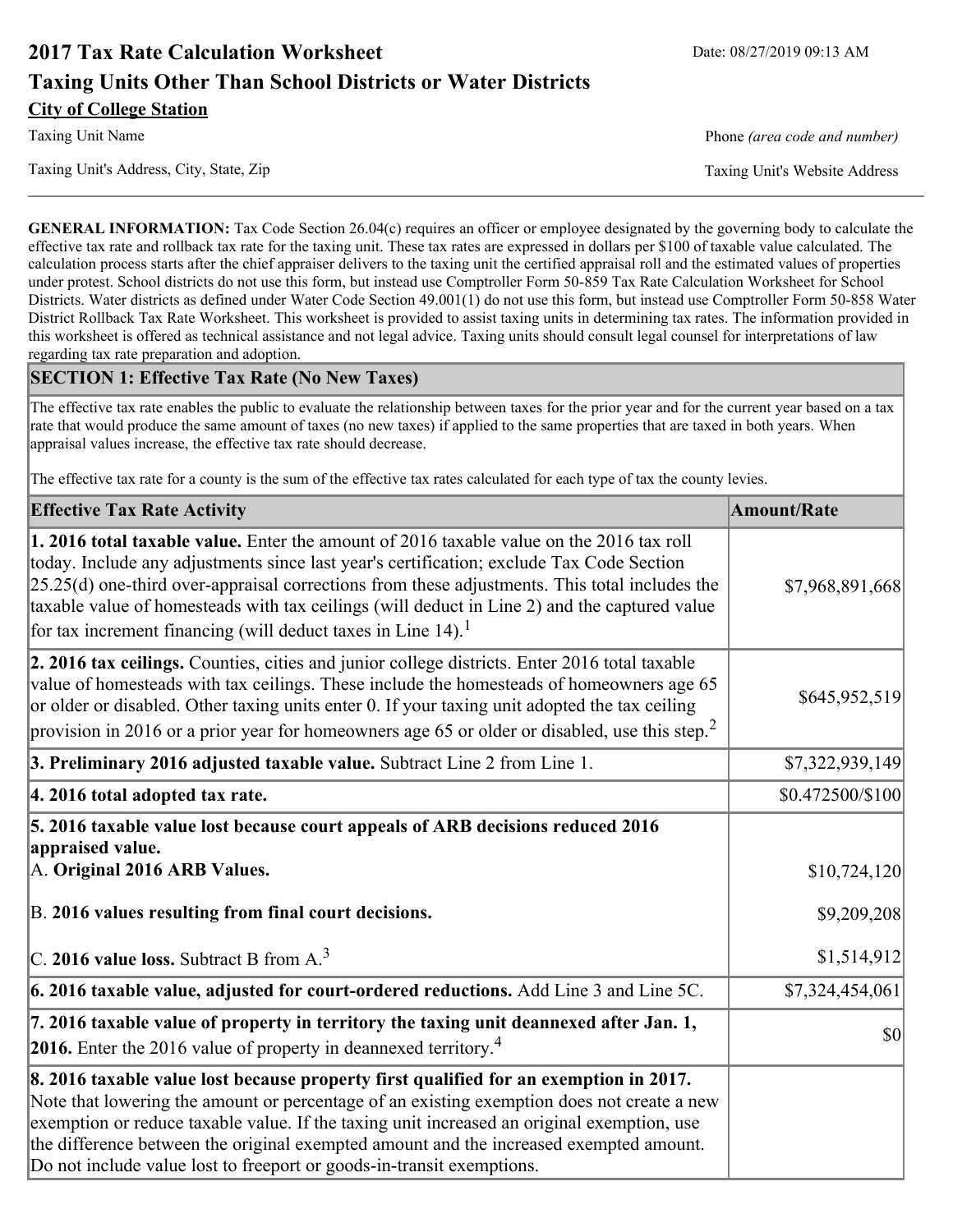# **2017 Tax Rate Calculation Worksheet** Date: 08/27/2019 09:13 AM **Taxing Units Other Than School Districts or Water Districts City of College Station**

Taxing Unit Name **Phone** *(area code and number)* Phone *(area code and number)* 

Taxing Unit's Address, City, State, Zip Taxing Unit's Website Address

**GENERAL INFORMATION:** Tax Code Section 26.04(c) requires an officer or employee designated by the governing body to calculate the effective tax rate and rollback tax rate for the taxing unit. These tax rates are expressed in dollars per \$100 of taxable value calculated. The calculation process starts after the chief appraiser delivers to the taxing unit the certified appraisal roll and the estimated values of properties under protest. School districts do not use this form, but instead use Comptroller Form 50-859 Tax Rate Calculation Worksheet for School Districts. Water districts as defined under Water Code Section 49.001(1) do not use this form, but instead use Comptroller Form 50-858 Water District Rollback Tax Rate Worksheet. This worksheet is provided to assist taxing units in determining tax rates. The information provided in this worksheet is offered as technical assistance and not legal advice. Taxing units should consult legal counsel for interpretations of law regarding tax rate preparation and adoption.

### **SECTION 1: Effective Tax Rate (No New Taxes)**

The effective tax rate enables the public to evaluate the relationship between taxes for the prior year and for the current year based on a tax rate that would produce the same amount of taxes (no new taxes) if applied to the same properties that are taxed in both years. When appraisal values increase, the effective tax rate should decrease.

The effective tax rate for a county is the sum of the effective tax rates calculated for each type of tax the county levies.

| <b>Effective Tax Rate Activity</b>                                                                                                                                                                                                                                                                                                                                                                                                                                      | <b>Amount/Rate</b>          |
|-------------------------------------------------------------------------------------------------------------------------------------------------------------------------------------------------------------------------------------------------------------------------------------------------------------------------------------------------------------------------------------------------------------------------------------------------------------------------|-----------------------------|
| 1. 2016 total taxable value. Enter the amount of 2016 taxable value on the 2016 tax roll<br>today. Include any adjustments since last year's certification; exclude Tax Code Section<br>$[25.25(d)$ one-third over-appraisal corrections from these adjustments. This total includes the<br>taxable value of homesteads with tax ceilings (will deduct in Line 2) and the captured value<br>for tax increment financing (will deduct taxes in Line $14$ ). <sup>1</sup> | \$7,968,891,668             |
| 2. 2016 tax ceilings. Counties, cities and junior college districts. Enter 2016 total taxable<br>value of homesteads with tax ceilings. These include the homesteads of homeowners age 65<br>or older or disabled. Other taxing units enter 0. If your taxing unit adopted the tax ceiling<br>provision in 2016 or a prior year for homeowners age 65 or older or disabled, use this step. <sup>2</sup>                                                                 | \$645,952,519               |
| 3. Preliminary 2016 adjusted taxable value. Subtract Line 2 from Line 1.                                                                                                                                                                                                                                                                                                                                                                                                | \$7,322,939,149             |
| 4. 2016 total adopted tax rate.                                                                                                                                                                                                                                                                                                                                                                                                                                         | \$0.472500/\$100            |
| 5. 2016 taxable value lost because court appeals of ARB decisions reduced 2016<br>appraised value.<br>A. Original 2016 ARB Values.<br>B. 2016 values resulting from final court decisions.                                                                                                                                                                                                                                                                              | \$10,724,120<br>\$9,209,208 |
| C. 2016 value loss. Subtract B from $A3$                                                                                                                                                                                                                                                                                                                                                                                                                                | \$1,514,912                 |
| 6. 2016 taxable value, adjusted for court-ordered reductions. Add Line 3 and Line 5C.                                                                                                                                                                                                                                                                                                                                                                                   | \$7,324,454,061             |
| 7. 2016 taxable value of property in territory the taxing unit deannexed after Jan. 1,<br><b>2016.</b> Enter the 2016 value of property in deannexed territory. <sup>4</sup>                                                                                                                                                                                                                                                                                            | <b>\$0</b>                  |
| 8. 2016 taxable value lost because property first qualified for an exemption in 2017.<br>Note that lowering the amount or percentage of an existing exemption does not create a new<br>exemption or reduce taxable value. If the taxing unit increased an original exemption, use<br>the difference between the original exempted amount and the increased exempted amount.<br>Do not include value lost to freeport or goods-in-transit exemptions.                    |                             |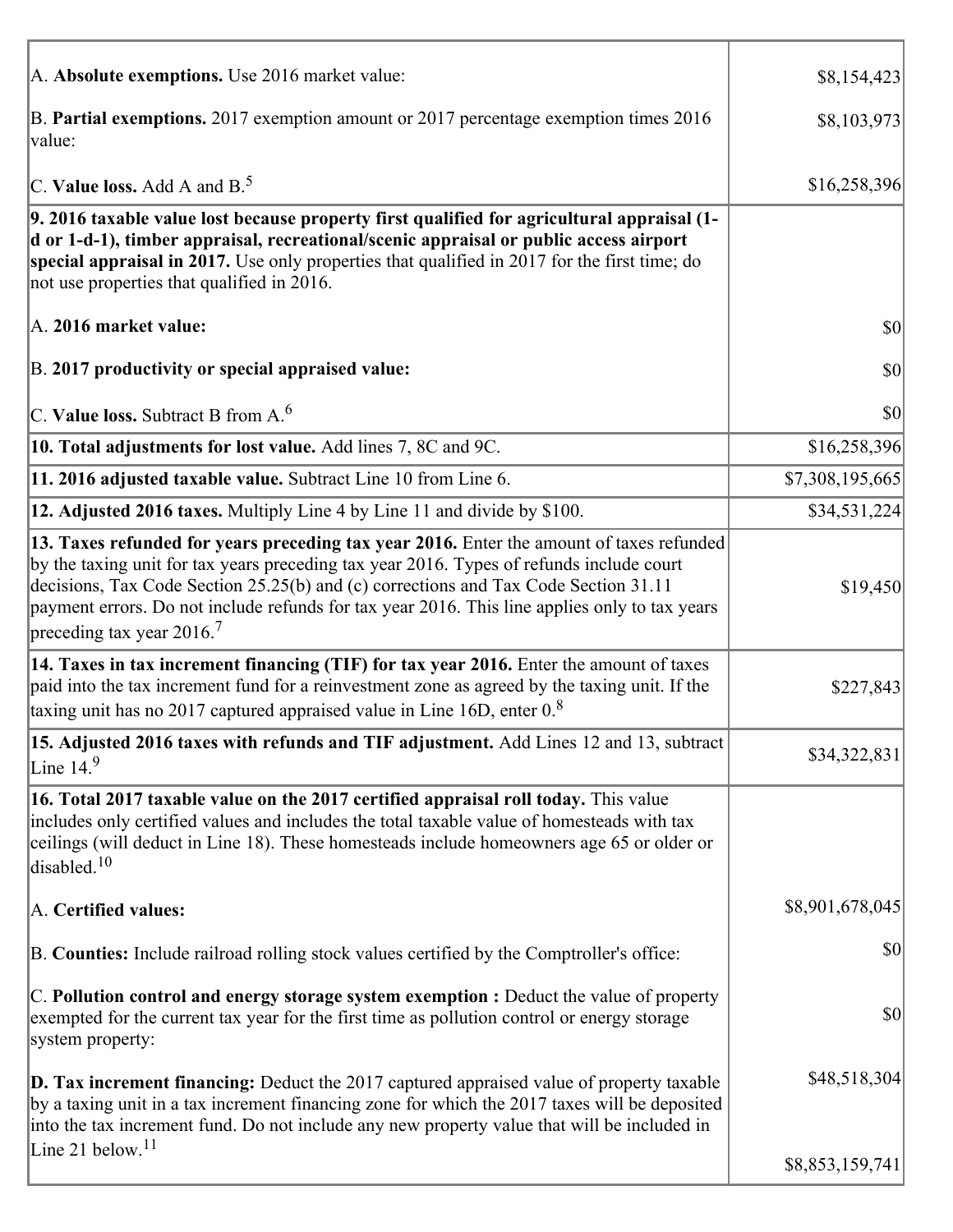| A. Absolute exemptions. Use 2016 market value:                                                                                                                                                                                                                                                                                                                                                                         | \$8,154,423     |
|------------------------------------------------------------------------------------------------------------------------------------------------------------------------------------------------------------------------------------------------------------------------------------------------------------------------------------------------------------------------------------------------------------------------|-----------------|
| B. Partial exemptions. 2017 exemption amount or 2017 percentage exemption times 2016<br>value:                                                                                                                                                                                                                                                                                                                         | \$8,103,973     |
| C. Value loss. Add A and $B^5$ .                                                                                                                                                                                                                                                                                                                                                                                       | \$16,258,396    |
| 9. 2016 taxable value lost because property first qualified for agricultural appraisal (1-<br>d or 1-d-1), timber appraisal, recreational/scenic appraisal or public access airport<br>special appraisal in 2017. Use only properties that qualified in 2017 for the first time; do<br>not use properties that qualified in 2016.                                                                                      |                 |
| A. 2016 market value:                                                                                                                                                                                                                                                                                                                                                                                                  | \$0             |
| B. 2017 productivity or special appraised value:                                                                                                                                                                                                                                                                                                                                                                       | \$0             |
| $ C$ . Value loss. Subtract B from A. <sup>6</sup>                                                                                                                                                                                                                                                                                                                                                                     | 30              |
| <b>10. Total adjustments for lost value.</b> Add lines 7, 8C and 9C.                                                                                                                                                                                                                                                                                                                                                   | \$16,258,396    |
| 11. 2016 adjusted taxable value. Subtract Line 10 from Line 6.                                                                                                                                                                                                                                                                                                                                                         | \$7,308,195,665 |
| 12. Adjusted 2016 taxes. Multiply Line 4 by Line 11 and divide by \$100.                                                                                                                                                                                                                                                                                                                                               | \$34,531,224    |
| 13. Taxes refunded for years preceding tax year 2016. Enter the amount of taxes refunded<br>by the taxing unit for tax years preceding tax year 2016. Types of refunds include court<br>decisions, Tax Code Section 25.25(b) and (c) corrections and Tax Code Section 31.11<br>payment errors. Do not include refunds for tax year 2016. This line applies only to tax years<br>preceding tax year $2016$ <sup>7</sup> | \$19,450        |
| [14. Taxes in tax increment financing (TIF) for tax year 2016. Enter the amount of taxes<br>paid into the tax increment fund for a reinvestment zone as agreed by the taxing unit. If the<br>taxing unit has no 2017 captured appraised value in Line 16D, enter 0.8                                                                                                                                                   | \$227,843       |
| 15. Adjusted 2016 taxes with refunds and TIF adjustment. Add Lines 12 and 13, subtract<br>Line $149$                                                                                                                                                                                                                                                                                                                   | \$34,322,831    |
| 16. Total 2017 taxable value on the 2017 certified appraisal roll today. This value<br>includes only certified values and includes the total taxable value of homesteads with tax<br>ceilings (will deduct in Line 18). These homesteads include homeowners age 65 or older or<br>disabled. <sup>10</sup>                                                                                                              |                 |
| A. Certified values:                                                                                                                                                                                                                                                                                                                                                                                                   | \$8,901,678,045 |
| B. Counties: Include railroad rolling stock values certified by the Comptroller's office:                                                                                                                                                                                                                                                                                                                              | \$0             |
| C. Pollution control and energy storage system exemption : Deduct the value of property<br>exempted for the current tax year for the first time as pollution control or energy storage<br>system property:                                                                                                                                                                                                             | \$0             |
| $\vert$ D. Tax increment financing: Deduct the 2017 captured appraised value of property taxable<br>by a taxing unit in a tax increment financing zone for which the 2017 taxes will be deposited<br>into the tax increment fund. Do not include any new property value that will be included in                                                                                                                       | \$48,518,304    |
| Line 21 below. <sup>11</sup>                                                                                                                                                                                                                                                                                                                                                                                           | \$8,853,159,741 |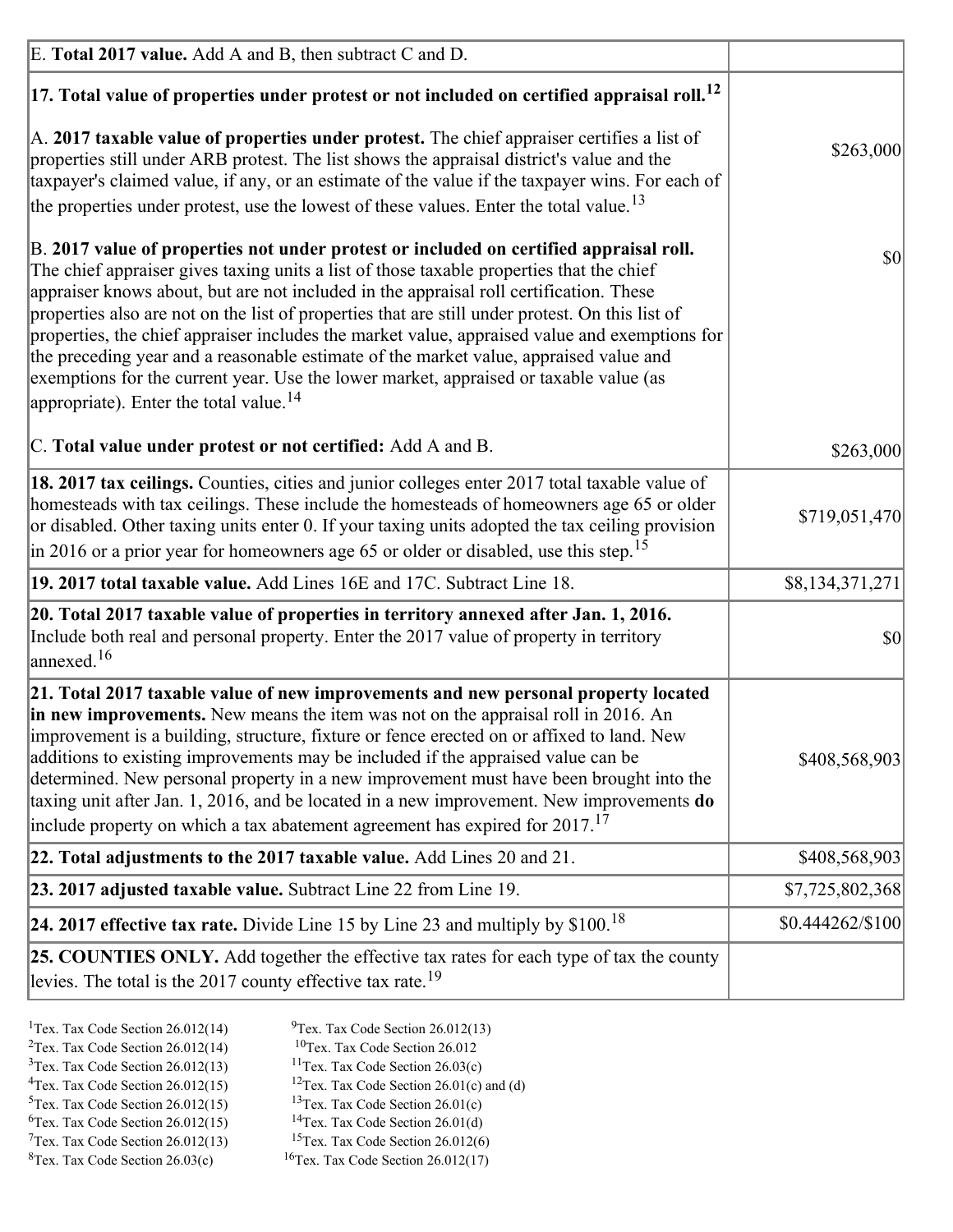| E. Total 2017 value. Add A and B, then subtract C and D.                                                                                                                                                                                                                                                                                                                                                                                                                                                                                                                                                                                                                                                                 |                              |
|--------------------------------------------------------------------------------------------------------------------------------------------------------------------------------------------------------------------------------------------------------------------------------------------------------------------------------------------------------------------------------------------------------------------------------------------------------------------------------------------------------------------------------------------------------------------------------------------------------------------------------------------------------------------------------------------------------------------------|------------------------------|
| $ 17$ . Total value of properties under protest or not included on certified appraisal roll. <sup>12</sup>                                                                                                                                                                                                                                                                                                                                                                                                                                                                                                                                                                                                               |                              |
| A. 2017 taxable value of properties under protest. The chief appraiser certifies a list of<br>properties still under ARB protest. The list shows the appraisal district's value and the<br>taxpayer's claimed value, if any, or an estimate of the value if the taxpayer wins. For each of<br>the properties under protest, use the lowest of these values. Enter the total value. <sup>13</sup>                                                                                                                                                                                                                                                                                                                         | \$263,000                    |
| B. 2017 value of properties not under protest or included on certified appraisal roll.<br>The chief appraiser gives taxing units a list of those taxable properties that the chief<br>appraiser knows about, but are not included in the appraisal roll certification. These<br>properties also are not on the list of properties that are still under protest. On this list of<br>properties, the chief appraiser includes the market value, appraised value and exemptions for<br>the preceding year and a reasonable estimate of the market value, appraised value and<br>exemptions for the current year. Use the lower market, appraised or taxable value (as<br>appropriate). Enter the total value. <sup>14</sup> | 30                           |
| C. Total value under protest or not certified: Add A and B.                                                                                                                                                                                                                                                                                                                                                                                                                                                                                                                                                                                                                                                              | \$263,000                    |
| 18. 2017 tax ceilings. Counties, cities and junior colleges enter 2017 total taxable value of<br>homesteads with tax ceilings. These include the homesteads of homeowners age 65 or older<br>or disabled. Other taxing units enter 0. If your taxing units adopted the tax ceiling provision<br>$\vert$ in 2016 or a prior year for homeowners age 65 or older or disabled, use this step. <sup>15</sup>                                                                                                                                                                                                                                                                                                                 | \$719,051,470                |
| 19. 2017 total taxable value. Add Lines 16E and 17C. Subtract Line 18.                                                                                                                                                                                                                                                                                                                                                                                                                                                                                                                                                                                                                                                   | \$8,134,371,271              |
| 20. Total 2017 taxable value of properties in territory annexed after Jan. 1, 2016.<br>Include both real and personal property. Enter the 2017 value of property in territory<br>$\vert$ annexed. <sup>16</sup>                                                                                                                                                                                                                                                                                                                                                                                                                                                                                                          | $ 10\rangle$                 |
| 21. Total 2017 taxable value of new improvements and new personal property located<br>in new improvements. New means the item was not on the appraisal roll in 2016. An<br>improvement is a building, structure, fixture or fence erected on or affixed to land. New<br>additions to existing improvements may be included if the appraised value can be<br>determined. New personal property in a new improvement must have been brought into the<br>taxing unit after Jan. 1, 2016, and be located in a new improvement. New improvements do<br>include property on which a tax abatement agreement has expired for $2017$ . <sup>17</sup>                                                                             | \$408,568,903                |
| 22. Total adjustments to the 2017 taxable value. Add Lines 20 and 21.                                                                                                                                                                                                                                                                                                                                                                                                                                                                                                                                                                                                                                                    | \$408,568,903                |
| 23. 2017 adjusted taxable value. Subtract Line 22 from Line 19.                                                                                                                                                                                                                                                                                                                                                                                                                                                                                                                                                                                                                                                          | \$7,725,802,368              |
| 24. 2017 effective tax rate. Divide Line 15 by Line 23 and multiply by $$100$ . <sup>18</sup>                                                                                                                                                                                                                                                                                                                                                                                                                                                                                                                                                                                                                            | $$0.444262\allowbreak/\$100$ |
| 25. COUNTIES ONLY. Add together the effective tax rates for each type of tax the county<br>levies. The total is the 2017 county effective tax rate. <sup>19</sup>                                                                                                                                                                                                                                                                                                                                                                                                                                                                                                                                                        |                              |

- <sup>2</sup>Tex. Tax Code Section 26.012(14)
- <sup>1</sup>Tex. Tax Code Section 26.012(14) <sup>9</sup>Tex. Tax Code Section 26.012(13) <sup>9</sup>Tex. Tax Code Section 26.012
	-
- <sup>3</sup>Tex. Tax Code Section 26.012(13) <sup>11</sup>Tex. Tax Code Section 26.03(c) <sup>4</sup>Tex. Tax Code Section 26.01(c) and <sup>12</sup>Tex. Tax Code Section 26.01(c) and <sup>12</sup>Tex. Tax Code Section 26.01(c) and <sup>12</sup>Tex. Tax Code Section 26.01(c) <sup>12</sup>Tex. Tax Code Section 26.01(c) and (d)
- 
- <sup>5</sup>Tex. Tax Code Section 26.012(15) <sup>13</sup>Tex. Tax Code Section 26.01(c) <sup>6</sup>Tex. Tax Code Section 26.01(d)
- 
- $7$ Tex. Tax Code Section 26.012(13)
- 
- <sup>6</sup>Tex. Tax Code Section 26.012(15) <sup>14</sup>Tex. Tax Code Section 26.01(d)<sup>7</sup>Tex. Tax Code Section 26.012(6)
- ${}^{8}$ Tex. Tax Code Section 26.03(c)  ${}^{16}$ Tex. Tax Code Section 26.012(17)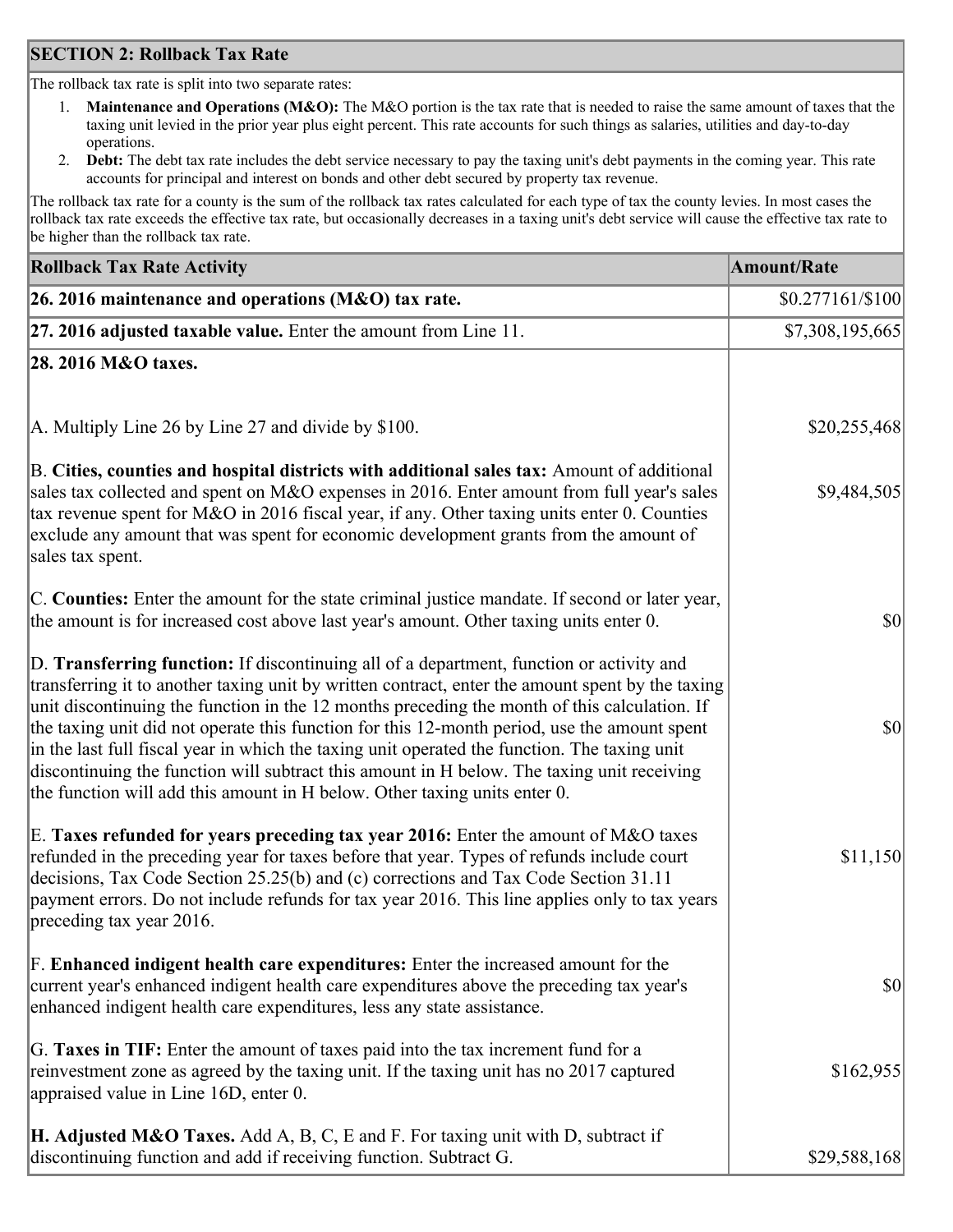### **SECTION 2: Rollback Tax Rate**

The rollback tax rate is split into two separate rates:

- 1. **Maintenance and Operations (M&O):** The M&O portion is the tax rate that is needed to raise the same amount of taxes that the taxing unit levied in the prior year plus eight percent. This rate accounts for such things as salaries, utilities and day-to-day operations.
- 2. **Debt:** The debt tax rate includes the debt service necessary to pay the taxing unit's debt payments in the coming year. This rate accounts for principal and interest on bonds and other debt secured by property tax revenue.

The rollback tax rate for a county is the sum of the rollback tax rates calculated for each type of tax the county levies. In most cases the rollback tax rate exceeds the effective tax rate, but occasionally decreases in a taxing unit's debt service will cause the effective tax rate to be higher than the rollback tax rate.

| <b>Rollback Tax Rate Activity</b>                                                                                                                                                                                                                                                                                                                                                                                                                                                                                                                                                                                                                                       | <b>Amount/Rate</b> |
|-------------------------------------------------------------------------------------------------------------------------------------------------------------------------------------------------------------------------------------------------------------------------------------------------------------------------------------------------------------------------------------------------------------------------------------------------------------------------------------------------------------------------------------------------------------------------------------------------------------------------------------------------------------------------|--------------------|
| 26. 2016 maintenance and operations (M&O) tax rate.                                                                                                                                                                                                                                                                                                                                                                                                                                                                                                                                                                                                                     | $$0.277161/\$100$  |
| $ 27.2016$ adjusted taxable value. Enter the amount from Line 11.                                                                                                                                                                                                                                                                                                                                                                                                                                                                                                                                                                                                       | \$7,308,195,665    |
| 28. 2016 M&O taxes.                                                                                                                                                                                                                                                                                                                                                                                                                                                                                                                                                                                                                                                     |                    |
|                                                                                                                                                                                                                                                                                                                                                                                                                                                                                                                                                                                                                                                                         |                    |
| A. Multiply Line 26 by Line 27 and divide by \$100.                                                                                                                                                                                                                                                                                                                                                                                                                                                                                                                                                                                                                     | \$20,255,468       |
| B. Cities, counties and hospital districts with additional sales tax: Amount of additional<br>sales tax collected and spent on M&O expenses in 2016. Enter amount from full year's sales<br>tax revenue spent for M&O in 2016 fiscal year, if any. Other taxing units enter 0. Counties<br>exclude any amount that was spent for economic development grants from the amount of<br>sales tax spent.                                                                                                                                                                                                                                                                     | \$9,484,505        |
| C. Counties: Enter the amount for the state criminal justice mandate. If second or later year,<br>the amount is for increased cost above last year's amount. Other taxing units enter 0.                                                                                                                                                                                                                                                                                                                                                                                                                                                                                | $ 10\rangle$       |
| D. Transferring function: If discontinuing all of a department, function or activity and<br>transferring it to another taxing unit by written contract, enter the amount spent by the taxing<br>unit discontinuing the function in the 12 months preceding the month of this calculation. If<br>the taxing unit did not operate this function for this 12-month period, use the amount spent<br>in the last full fiscal year in which the taxing unit operated the function. The taxing unit<br>discontinuing the function will subtract this amount in H below. The taxing unit receiving<br>the function will add this amount in H below. Other taxing units enter 0. | $ 10\rangle$       |
| E. Taxes refunded for years preceding tax year 2016: Enter the amount of M&O taxes<br>refunded in the preceding year for taxes before that year. Types of refunds include court<br>decisions, Tax Code Section 25.25(b) and (c) corrections and Tax Code Section 31.11<br>payment errors. Do not include refunds for tax year 2016. This line applies only to tax years<br>preceding tax year 2016.                                                                                                                                                                                                                                                                     | \$11,150           |
| F. Enhanced indigent health care expenditures: Enter the increased amount for the<br>current year's enhanced indigent health care expenditures above the preceding tax year's<br>enhanced indigent health care expenditures, less any state assistance.                                                                                                                                                                                                                                                                                                                                                                                                                 | $ 10\rangle$       |
| G. Taxes in TIF: Enter the amount of taxes paid into the tax increment fund for a<br>reinvestment zone as agreed by the taxing unit. If the taxing unit has no 2017 captured<br>appraised value in Line 16D, enter 0.                                                                                                                                                                                                                                                                                                                                                                                                                                                   | \$162,955          |
| <b>H. Adjusted M&amp;O Taxes.</b> Add A, B, C, E and F. For taxing unit with D, subtract if<br>discontinuing function and add if receiving function. Subtract G.                                                                                                                                                                                                                                                                                                                                                                                                                                                                                                        | \$29,588,168       |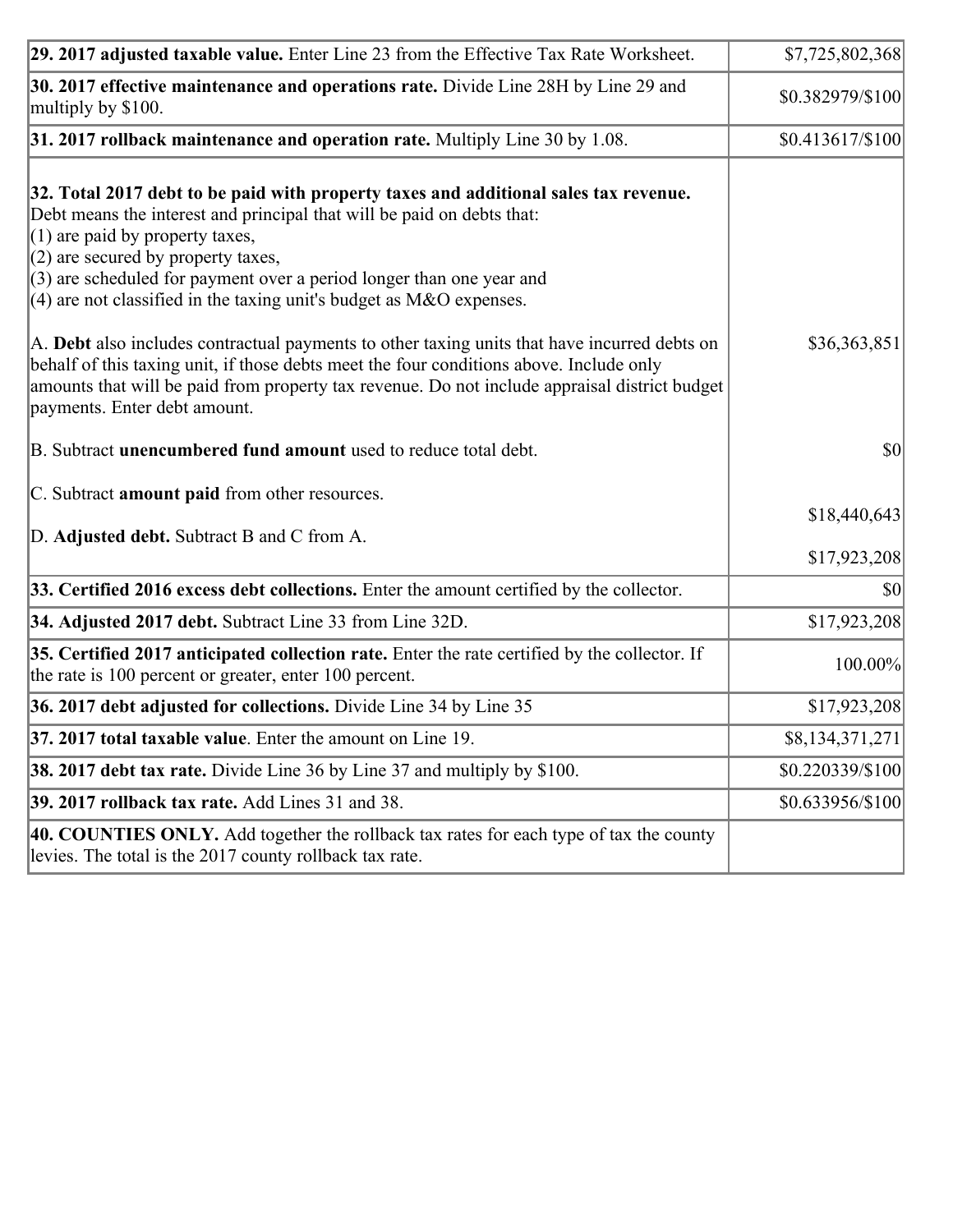| 29. 2017 adjusted taxable value. Enter Line 23 from the Effective Tax Rate Worksheet.                                                                                                                                                                                                                                                                                                          | \$7,725,802,368              |
|------------------------------------------------------------------------------------------------------------------------------------------------------------------------------------------------------------------------------------------------------------------------------------------------------------------------------------------------------------------------------------------------|------------------------------|
| 30. 2017 effective maintenance and operations rate. Divide Line 28H by Line 29 and<br>multiply by \$100.                                                                                                                                                                                                                                                                                       | \$0.382979/\$100             |
| $31.2017$ rollback maintenance and operation rate. Multiply Line 30 by 1.08.                                                                                                                                                                                                                                                                                                                   | $$0.413617/\$100$            |
| 32. Total 2017 debt to be paid with property taxes and additional sales tax revenue.<br>Debt means the interest and principal that will be paid on debts that:<br>$(1)$ are paid by property taxes,<br>$(2)$ are secured by property taxes,<br>$(3)$ are scheduled for payment over a period longer than one year and<br>$(4)$ are not classified in the taxing unit's budget as M&O expenses. |                              |
| A. Debt also includes contractual payments to other taxing units that have incurred debts on<br>behalf of this taxing unit, if those debts meet the four conditions above. Include only<br>amounts that will be paid from property tax revenue. Do not include appraisal district budget<br>payments. Enter debt amount.                                                                       | \$36,363,851                 |
| B. Subtract unencumbered fund amount used to reduce total debt.                                                                                                                                                                                                                                                                                                                                | \$0                          |
| C. Subtract amount paid from other resources.<br>D. Adjusted debt. Subtract B and C from A.                                                                                                                                                                                                                                                                                                    | \$18,440,643<br>\$17,923,208 |
| 33. Certified 2016 excess debt collections. Enter the amount certified by the collector.                                                                                                                                                                                                                                                                                                       | 30                           |
| 34. Adjusted 2017 debt. Subtract Line 33 from Line 32D.                                                                                                                                                                                                                                                                                                                                        | \$17,923,208                 |
| 35. Certified 2017 anticipated collection rate. Enter the rate certified by the collector. If<br>the rate is 100 percent or greater, enter 100 percent.                                                                                                                                                                                                                                        | 100.00%                      |
| 36. 2017 debt adjusted for collections. Divide Line 34 by Line 35                                                                                                                                                                                                                                                                                                                              | \$17,923,208                 |
| $37.2017$ total taxable value. Enter the amount on Line 19.                                                                                                                                                                                                                                                                                                                                    | \$8,134,371,271              |
| <b>38. 2017 debt tax rate.</b> Divide Line 36 by Line 37 and multiply by \$100.                                                                                                                                                                                                                                                                                                                | \$0.220339/\$100             |
| <b>39. 2017 rollback tax rate.</b> Add Lines 31 and 38.                                                                                                                                                                                                                                                                                                                                        | \$0.633956/\$100             |
| 40. COUNTIES ONLY. Add together the rollback tax rates for each type of tax the county<br>levies. The total is the 2017 county rollback tax rate.                                                                                                                                                                                                                                              |                              |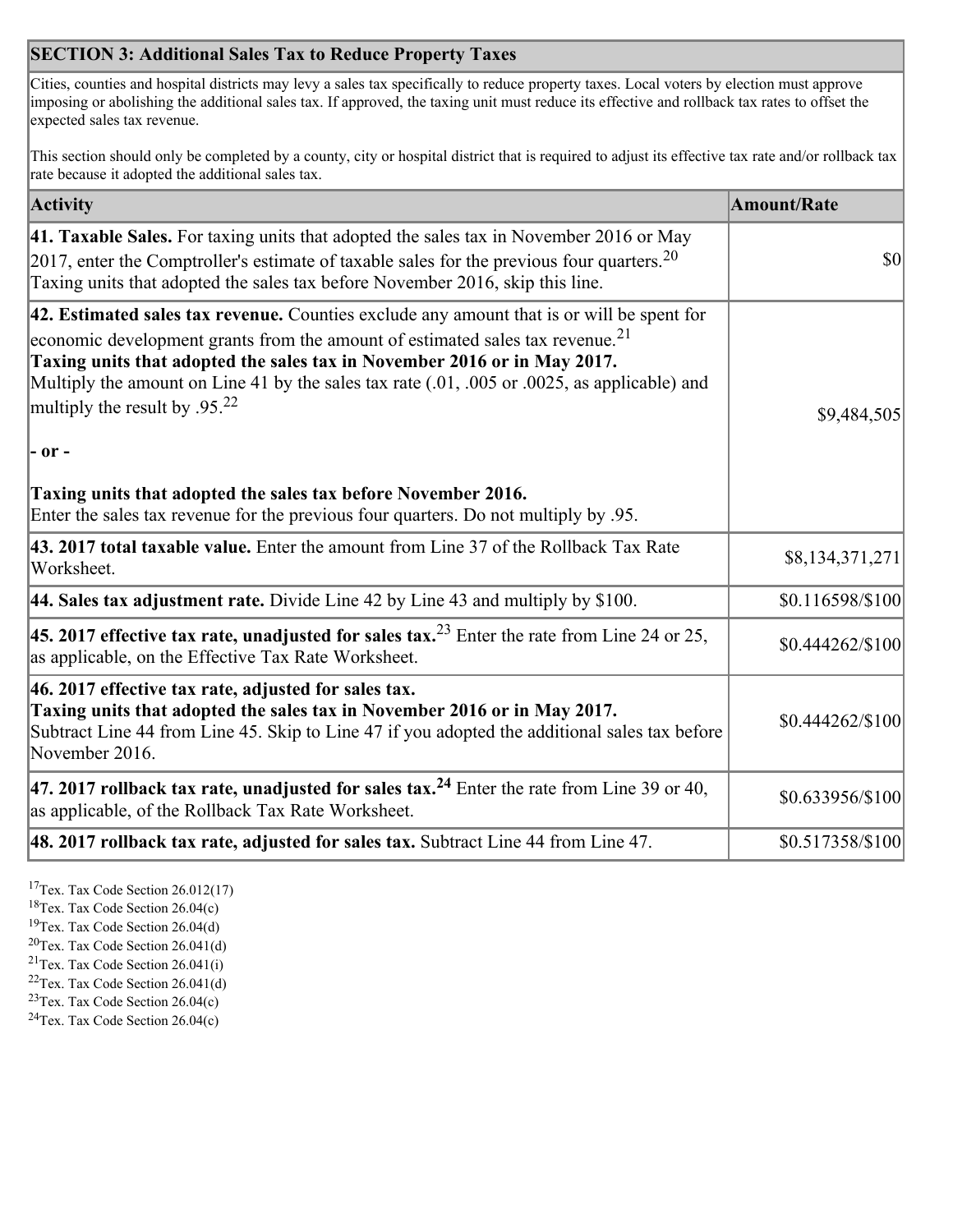## **SECTION 3: Additional Sales Tax to Reduce Property Taxes**

Cities, counties and hospital districts may levy a sales tax specifically to reduce property taxes. Local voters by election must approve imposing or abolishing the additional sales tax. If approved, the taxing unit must reduce its effective and rollback tax rates to offset the expected sales tax revenue.

This section should only be completed by a county, city or hospital district that is required to adjust its effective tax rate and/or rollback tax rate because it adopted the additional sales tax.

| <b>Activity</b>                                                                                                                                                                                                                                                                                                                                                                                                 | <b>Amount/Rate</b> |
|-----------------------------------------------------------------------------------------------------------------------------------------------------------------------------------------------------------------------------------------------------------------------------------------------------------------------------------------------------------------------------------------------------------------|--------------------|
| 41. Taxable Sales. For taxing units that adopted the sales tax in November 2016 or May<br>[2017, enter the Comptroller's estimate of taxable sales for the previous four quarters. <sup>20</sup><br>Taxing units that adopted the sales tax before November 2016, skip this line.                                                                                                                               | $\vert$ so $\vert$ |
| 42. Estimated sales tax revenue. Counties exclude any amount that is or will be spent for<br>economic development grants from the amount of estimated sales tax revenue. <sup>21</sup><br>Taxing units that adopted the sales tax in November 2016 or in May 2017.<br>Multiply the amount on Line 41 by the sales tax rate (.01, .005 or .0025, as applicable) and<br>multiply the result by .95. <sup>22</sup> | \$9,484,505        |
| $ -$ or $-$                                                                                                                                                                                                                                                                                                                                                                                                     |                    |
| Taxing units that adopted the sales tax before November 2016.<br>Enter the sales tax revenue for the previous four quarters. Do not multiply by .95.                                                                                                                                                                                                                                                            |                    |
| 43. 2017 total taxable value. Enter the amount from Line 37 of the Rollback Tax Rate<br>Worksheet.                                                                                                                                                                                                                                                                                                              | \$8,134,371,271    |
| 44. Sales tax adjustment rate. Divide Line 42 by Line 43 and multiply by $$100$ .                                                                                                                                                                                                                                                                                                                               | \$0.116598/\$100   |
| 45. 2017 effective tax rate, unadjusted for sales tax. <sup>23</sup> Enter the rate from Line 24 or 25,<br>as applicable, on the Effective Tax Rate Worksheet.                                                                                                                                                                                                                                                  | \$0.444262/\$100   |
| 46. 2017 effective tax rate, adjusted for sales tax.<br>Taxing units that adopted the sales tax in November 2016 or in May 2017.<br>Subtract Line 44 from Line 45. Skip to Line 47 if you adopted the additional sales tax before<br>November 2016.                                                                                                                                                             | \$0.444262/\$100   |
| 47. 2017 rollback tax rate, unadjusted for sales tax. <sup>24</sup> Enter the rate from Line 39 or 40,<br>as applicable, of the Rollback Tax Rate Worksheet.                                                                                                                                                                                                                                                    | \$0.633956/\$100   |
| $ 48.2017$ rollback tax rate, adjusted for sales tax. Subtract Line 44 from Line 47.                                                                                                                                                                                                                                                                                                                            | \$0.517358/\$100   |

<sup>17</sup>Tex. Tax Code Section 26.012(17)

<sup>18</sup>Tex. Tax Code Section 26.04(c)

<sup>19</sup>Tex. Tax Code Section 26.04(d)

<sup>20</sup>Tex. Tax Code Section 26.041(d)

- $21$ Tex. Tax Code Section 26.041(i)
- <sup>22</sup>Tex. Tax Code Section 26.041(d)
- <sup>23</sup>Tex. Tax Code Section  $26.04(c)$

<sup>24</sup>Tex. Tax Code Section  $26.04(c)$